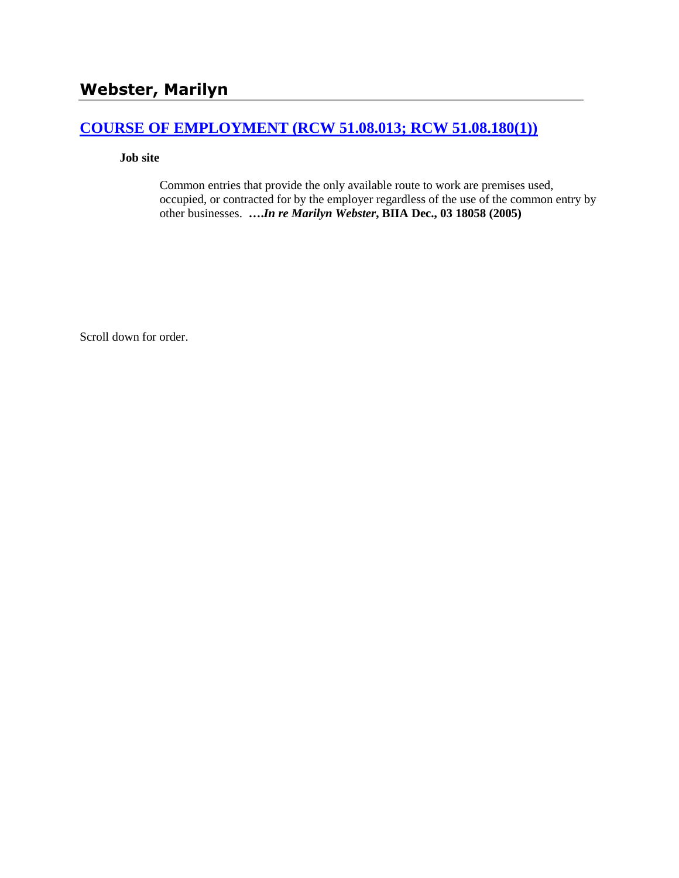## **[COURSE OF EMPLOYMENT \(RCW 51.08.013; RCW 51.08.180\(1\)\)](http://www.biia.wa.gov/SDSubjectIndex.html#COURSE_OF_EMPLOYMENT)**

**Job site**

Common entries that provide the only available route to work are premises used, occupied, or contracted for by the employer regardless of the use of the common entry by other businesses. **….***In re Marilyn Webster***, BIIA Dec., 03 18058 (2005)**

Scroll down for order.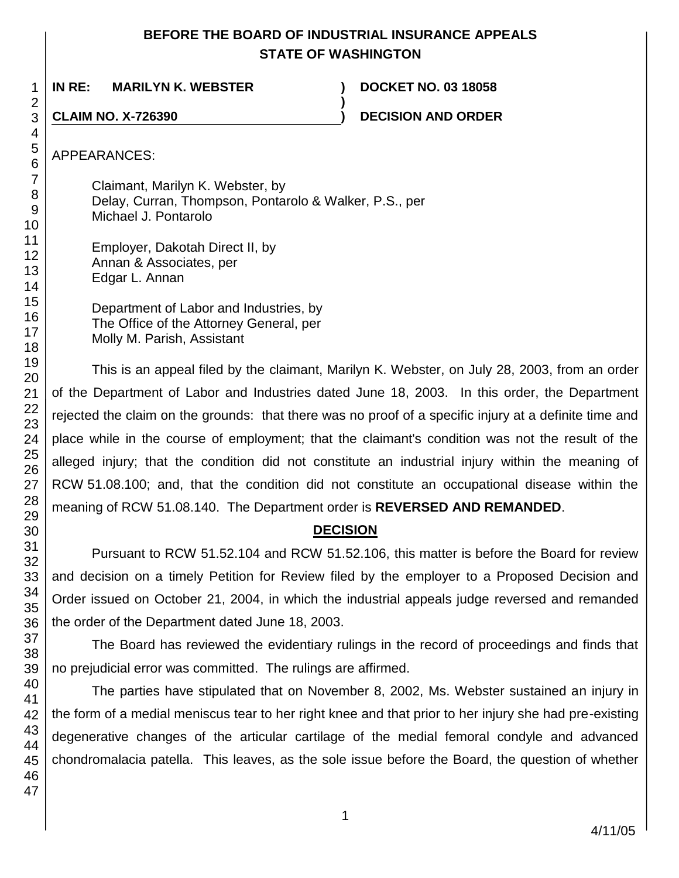# **BEFORE THE BOARD OF INDUSTRIAL INSURANCE APPEALS STATE OF WASHINGTON**

**)**

**IN RE: MARILYN K. WEBSTER ) DOCKET NO. 03 18058**

**CLAIM NO. X-726390 ) DECISION AND ORDER**

APPEARANCES:

Claimant, Marilyn K. Webster, by Delay, Curran, Thompson, Pontarolo & Walker, P.S., per Michael J. Pontarolo

Employer, Dakotah Direct II, by Annan & Associates, per Edgar L. Annan

Department of Labor and Industries, by The Office of the Attorney General, per Molly M. Parish, Assistant

This is an appeal filed by the claimant, Marilyn K. Webster, on July 28, 2003, from an order of the Department of Labor and Industries dated June 18, 2003. In this order, the Department rejected the claim on the grounds: that there was no proof of a specific injury at a definite time and place while in the course of employment; that the claimant's condition was not the result of the alleged injury; that the condition did not constitute an industrial injury within the meaning of RCW 51.08.100; and, that the condition did not constitute an occupational disease within the meaning of RCW 51.08.140. The Department order is **REVERSED AND REMANDED**.

# **DECISION**

Pursuant to RCW 51.52.104 and RCW 51.52.106, this matter is before the Board for review and decision on a timely Petition for Review filed by the employer to a Proposed Decision and Order issued on October 21, 2004, in which the industrial appeals judge reversed and remanded the order of the Department dated June 18, 2003.

The Board has reviewed the evidentiary rulings in the record of proceedings and finds that no prejudicial error was committed. The rulings are affirmed.

The parties have stipulated that on November 8, 2002, Ms. Webster sustained an injury in the form of a medial meniscus tear to her right knee and that prior to her injury she had pre-existing degenerative changes of the articular cartilage of the medial femoral condyle and advanced chondromalacia patella. This leaves, as the sole issue before the Board, the question of whether

1 2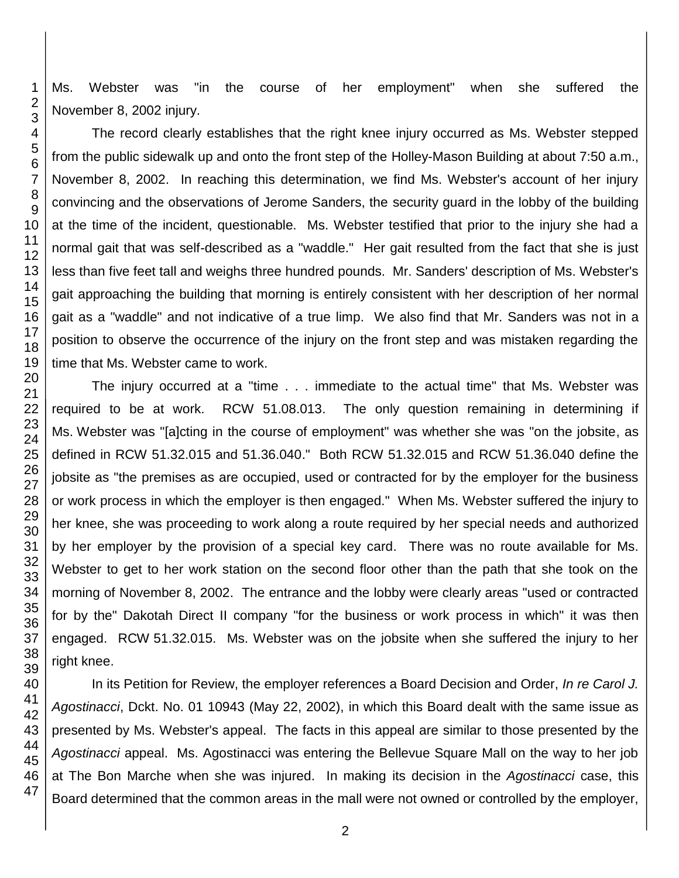Ms. Webster was "in the course of her employment" when she suffered the November 8, 2002 injury.

The record clearly establishes that the right knee injury occurred as Ms. Webster stepped from the public sidewalk up and onto the front step of the Holley-Mason Building at about 7:50 a.m., November 8, 2002. In reaching this determination, we find Ms. Webster's account of her injury convincing and the observations of Jerome Sanders, the security guard in the lobby of the building at the time of the incident, questionable. Ms. Webster testified that prior to the injury she had a normal gait that was self-described as a "waddle." Her gait resulted from the fact that she is just less than five feet tall and weighs three hundred pounds. Mr. Sanders' description of Ms. Webster's gait approaching the building that morning is entirely consistent with her description of her normal gait as a "waddle" and not indicative of a true limp. We also find that Mr. Sanders was not in a position to observe the occurrence of the injury on the front step and was mistaken regarding the time that Ms. Webster came to work.

The injury occurred at a "time . . . immediate to the actual time" that Ms. Webster was required to be at work. RCW 51.08.013. The only question remaining in determining if Ms. Webster was "[a]cting in the course of employment" was whether she was "on the jobsite, as defined in RCW 51.32.015 and 51.36.040." Both RCW 51.32.015 and RCW 51.36.040 define the jobsite as "the premises as are occupied, used or contracted for by the employer for the business or work process in which the employer is then engaged." When Ms. Webster suffered the injury to her knee, she was proceeding to work along a route required by her special needs and authorized by her employer by the provision of a special key card. There was no route available for Ms. Webster to get to her work station on the second floor other than the path that she took on the morning of November 8, 2002. The entrance and the lobby were clearly areas "used or contracted for by the" Dakotah Direct II company "for the business or work process in which" it was then engaged. RCW 51.32.015. Ms. Webster was on the jobsite when she suffered the injury to her right knee.

In its Petition for Review, the employer references a Board Decision and Order, *In re Carol J. Agostinacci*, Dckt. No. 01 10943 (May 22, 2002), in which this Board dealt with the same issue as presented by Ms. Webster's appeal. The facts in this appeal are similar to those presented by the *Agostinacci* appeal. Ms. Agostinacci was entering the Bellevue Square Mall on the way to her job at The Bon Marche when she was injured. In making its decision in the *Agostinacci* case, this Board determined that the common areas in the mall were not owned or controlled by the employer,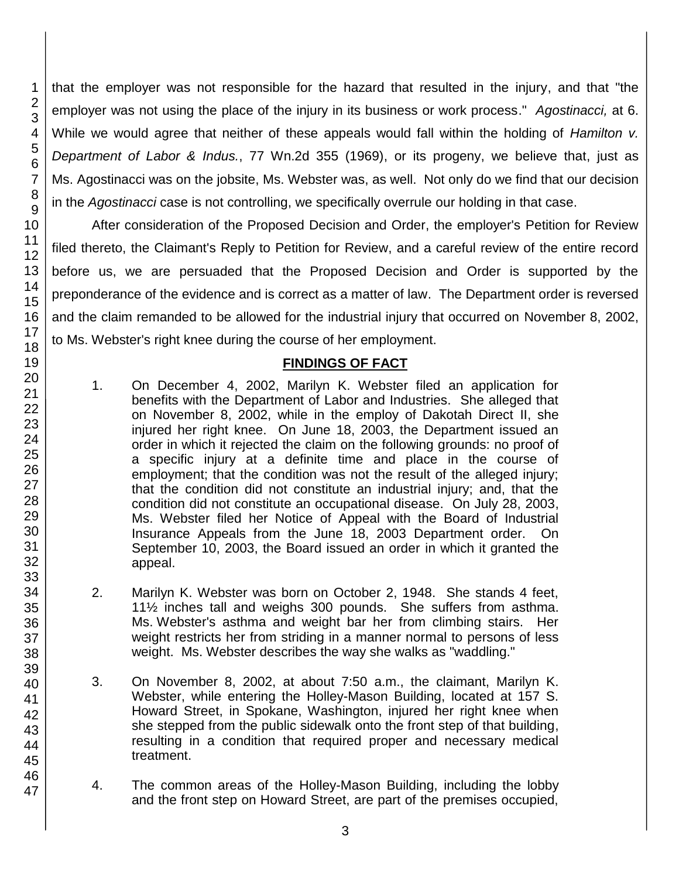that the employer was not responsible for the hazard that resulted in the injury, and that "the employer was not using the place of the injury in its business or work process." *Agostinacci,* at 6. While we would agree that neither of these appeals would fall within the holding of *Hamilton v. Department of Labor & Indus.*, 77 Wn.2d 355 (1969), or its progeny, we believe that, just as Ms. Agostinacci was on the jobsite, Ms. Webster was, as well. Not only do we find that our decision in the *Agostinacci* case is not controlling, we specifically overrule our holding in that case.

After consideration of the Proposed Decision and Order, the employer's Petition for Review filed thereto, the Claimant's Reply to Petition for Review, and a careful review of the entire record before us, we are persuaded that the Proposed Decision and Order is supported by the preponderance of the evidence and is correct as a matter of law. The Department order is reversed and the claim remanded to be allowed for the industrial injury that occurred on November 8, 2002, to Ms. Webster's right knee during the course of her employment.

### **FINDINGS OF FACT**

- 1. On December 4, 2002, Marilyn K. Webster filed an application for benefits with the Department of Labor and Industries. She alleged that on November 8, 2002, while in the employ of Dakotah Direct II, she injured her right knee. On June 18, 2003, the Department issued an order in which it rejected the claim on the following grounds: no proof of a specific injury at a definite time and place in the course of employment; that the condition was not the result of the alleged injury; that the condition did not constitute an industrial injury; and, that the condition did not constitute an occupational disease. On July 28, 2003, Ms. Webster filed her Notice of Appeal with the Board of Industrial Insurance Appeals from the June 18, 2003 Department order. On September 10, 2003, the Board issued an order in which it granted the appeal.
- 2. Marilyn K. Webster was born on October 2, 1948. She stands 4 feet, 11½ inches tall and weighs 300 pounds. She suffers from asthma. Ms. Webster's asthma and weight bar her from climbing stairs. Her weight restricts her from striding in a manner normal to persons of less weight. Ms. Webster describes the way she walks as "waddling."
- 3. On November 8, 2002, at about 7:50 a.m., the claimant, Marilyn K. Webster, while entering the Holley-Mason Building, located at 157 S. Howard Street, in Spokane, Washington, injured her right knee when she stepped from the public sidewalk onto the front step of that building, resulting in a condition that required proper and necessary medical treatment.
- 4. The common areas of the Holley-Mason Building, including the lobby and the front step on Howard Street, are part of the premises occupied,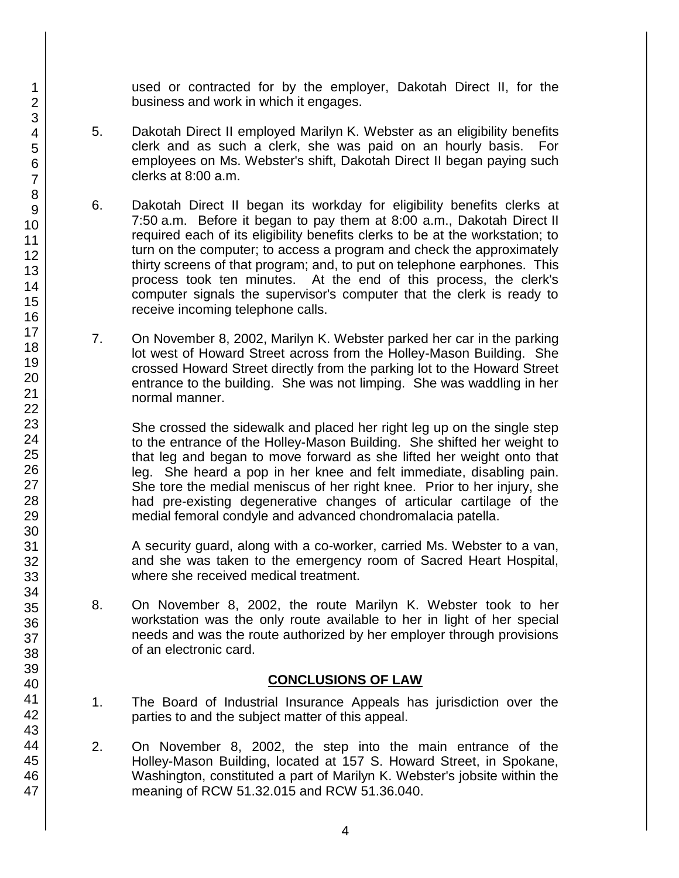used or contracted for by the employer, Dakotah Direct II, for the business and work in which it engages.

- 5. Dakotah Direct II employed Marilyn K. Webster as an eligibility benefits clerk and as such a clerk, she was paid on an hourly basis. For employees on Ms. Webster's shift, Dakotah Direct II began paying such clerks at 8:00 a.m.
- 6. Dakotah Direct II began its workday for eligibility benefits clerks at 7:50 a.m. Before it began to pay them at 8:00 a.m., Dakotah Direct II required each of its eligibility benefits clerks to be at the workstation; to turn on the computer; to access a program and check the approximately thirty screens of that program; and, to put on telephone earphones. This process took ten minutes. At the end of this process, the clerk's computer signals the supervisor's computer that the clerk is ready to receive incoming telephone calls.
- 7. On November 8, 2002, Marilyn K. Webster parked her car in the parking lot west of Howard Street across from the Holley-Mason Building. She crossed Howard Street directly from the parking lot to the Howard Street entrance to the building. She was not limping. She was waddling in her normal manner.

She crossed the sidewalk and placed her right leg up on the single step to the entrance of the Holley-Mason Building. She shifted her weight to that leg and began to move forward as she lifted her weight onto that leg. She heard a pop in her knee and felt immediate, disabling pain. She tore the medial meniscus of her right knee. Prior to her injury, she had pre-existing degenerative changes of articular cartilage of the medial femoral condyle and advanced chondromalacia patella.

A security guard, along with a co-worker, carried Ms. Webster to a van, and she was taken to the emergency room of Sacred Heart Hospital, where she received medical treatment.

8. On November 8, 2002, the route Marilyn K. Webster took to her workstation was the only route available to her in light of her special needs and was the route authorized by her employer through provisions of an electronic card.

## **CONCLUSIONS OF LAW**

- 1. The Board of Industrial Insurance Appeals has jurisdiction over the parties to and the subject matter of this appeal.
- 2. On November 8, 2002, the step into the main entrance of the Holley-Mason Building, located at 157 S. Howard Street, in Spokane, Washington, constituted a part of Marilyn K. Webster's jobsite within the meaning of RCW 51.32.015 and RCW 51.36.040.